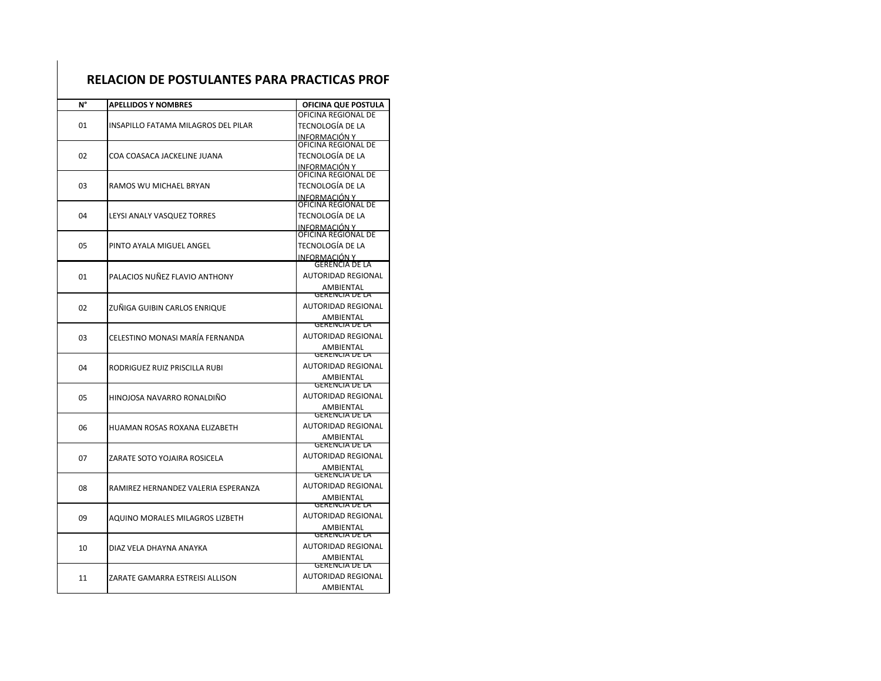| RELACION DE POSTULANTES PARA PRACTICAS PROF |                                            |                                           |  |
|---------------------------------------------|--------------------------------------------|-------------------------------------------|--|
| N°                                          | <b>APELLIDOS Y NOMBRES</b>                 | OFICINA QUE POSTULA                       |  |
| 01                                          | <b>INSAPILLO FATAMA MILAGROS DEL PILAR</b> | OFICINA REGIONAL DE                       |  |
|                                             |                                            | TECNOLOGÍA DE LA                          |  |
|                                             |                                            | <u>INFORMACIÓN Y</u>                      |  |
| 02                                          | COA COASACA JACKELINE JUANA                | OFICINA REGIONAL DE                       |  |
|                                             |                                            | TECNOLOGÍA DE LA                          |  |
|                                             |                                            | INFORMACIÓN Y                             |  |
| 03                                          | RAMOS WU MICHAEL BRYAN                     | OFICINA REGIONAL DE                       |  |
|                                             |                                            | TECNOLOGÍA DE LA                          |  |
| 04                                          | LEYSI ANALY VASQUEZ TORRES                 | INFORMACIÓN Y<br>OFICINA REGIONAL DE      |  |
|                                             |                                            | TECNOLOGÍA DE LA                          |  |
|                                             |                                            | INFORMACIÓN Y                             |  |
|                                             | PINTO AYALA MIGUEL ANGEL                   | OFICINA REGIONAL DE                       |  |
| 05                                          |                                            | TECNOLOGÍA DE LA                          |  |
|                                             |                                            | INFORMACIÓN Y                             |  |
|                                             | PALACIOS NUÑEZ FLAVIO ANTHONY              | GERENCIA DE LA                            |  |
| 01                                          |                                            | <b>AUTORIDAD REGIONAL</b>                 |  |
|                                             |                                            | AMBIENTAL                                 |  |
|                                             | ZUÑIGA GUIBIN CARLOS ENRIQUE               | <b>GERENCIA DE LA</b>                     |  |
| 02                                          |                                            | <b>AUTORIDAD REGIONAL</b>                 |  |
|                                             |                                            | <b>AMBIENTAL</b><br><b>GERENCIA DE LA</b> |  |
| 03                                          | CELESTINO MONASI MARÍA FERNANDA            | <b>AUTORIDAD REGIONAL</b>                 |  |
|                                             |                                            | AMBIENTAL                                 |  |
|                                             | RODRIGUEZ RUIZ PRISCILLA RUBI              | <b>GERENCIA DE LA</b>                     |  |
| 04                                          |                                            | AUTORIDAD REGIONAL                        |  |
|                                             |                                            | AMBIENTAL                                 |  |
| 05                                          | HINOJOSA NAVARRO RONALDIÑO                 | <b>GERENCIA DE LA</b>                     |  |
|                                             |                                            | AUTORIDAD REGIONAL                        |  |
|                                             |                                            | <b>AMBIENTAL</b><br><b>GERENCIA DE LA</b> |  |
| 06                                          | HUAMAN ROSAS ROXANA ELIZABETH              | <b>AUTORIDAD REGIONAL</b>                 |  |
|                                             |                                            | AMBIENTAL                                 |  |
|                                             | ZARATE SOTO YOJAIRA ROSICELA               | <b>GERENCIA DE LA</b>                     |  |
| 07                                          |                                            | AUTORIDAD REGIONAL                        |  |
|                                             |                                            | AMBIENTAL                                 |  |
|                                             | RAMIREZ HERNANDEZ VALERIA ESPERANZA        | <b>GERENCIA DE LA</b>                     |  |
| 08                                          |                                            | <b>AUTORIDAD REGIONAL</b>                 |  |
|                                             |                                            | <b>AMBIENTAL</b><br><b>GERENCIA DE LA</b> |  |
|                                             |                                            | <b>AUTORIDAD REGIONAL</b>                 |  |
| 09                                          | AQUINO MORALES MILAGROS LIZBETH            | AMBIENTAL                                 |  |
| 10                                          | DIAZ VELA DHAYNA ANAYKA                    | <b>GERENCIA DE LA</b>                     |  |
|                                             |                                            | AUTORIDAD REGIONAL                        |  |
|                                             |                                            | <b>AMBIENTAL</b>                          |  |
| 11                                          | ZARATE GAMARRA ESTREISI ALLISON            | GERENCIA DE LA                            |  |
|                                             |                                            | <b>AUTORIDAD REGIONAL</b>                 |  |
|                                             |                                            | AMBIENTAL                                 |  |